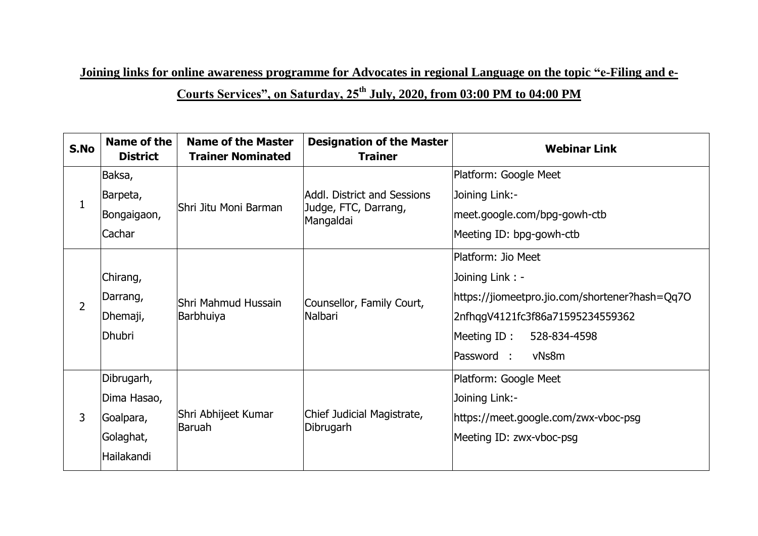**Joining links for online awareness programme for Advocates in regional Language on the topic "e-Filing and e-**

# **Courts Services", on Saturday, 25th July, 2020, from 03:00 PM to 04:00 PM**

| S.No | <b>Name of the</b><br><b>District</b> | <b>Name of the Master</b><br><b>Trainer Nominated</b> | <b>Designation of the Master</b><br><b>Trainer</b>               | <b>Webinar Link</b>                            |
|------|---------------------------------------|-------------------------------------------------------|------------------------------------------------------------------|------------------------------------------------|
|      | Baksa,                                | Shri Jitu Moni Barman                                 | Addl. District and Sessions<br>Judge, FTC, Darrang,<br>Mangaldai | Platform: Google Meet                          |
|      | Barpeta,                              |                                                       |                                                                  | Joining Link:-                                 |
|      | Bongaigaon,                           |                                                       |                                                                  | meet.google.com/bpg-gowh-ctb                   |
|      | Cachar                                |                                                       |                                                                  | Meeting ID: bpg-gowh-ctb                       |
| 2    |                                       | Shri Mahmud Hussain<br>Barbhuiya                      | Counsellor, Family Court,<br>Nalbari                             | Platform: Jio Meet                             |
|      | Chirang,                              |                                                       |                                                                  | Joining Link: -                                |
|      | Darrang,                              |                                                       |                                                                  | https://jiomeetpro.jio.com/shortener?hash=Qq7O |
|      | Dhemaji,                              |                                                       |                                                                  | 2nfhqgV4121fc3f86a71595234559362               |
|      | Dhubri                                |                                                       |                                                                  | Meeting ID:<br>528-834-4598                    |
|      |                                       |                                                       |                                                                  | vNs8m<br>Password :                            |
| 3    | Dibrugarh,                            |                                                       | Chief Judicial Magistrate,<br>Dibrugarh                          | Platform: Google Meet                          |
|      | Dima Hasao,                           | Shri Abhijeet Kumar<br>Baruah                         |                                                                  | Joining Link:-                                 |
|      | Goalpara,                             |                                                       |                                                                  | https://meet.google.com/zwx-vboc-psg           |
|      | Golaghat,                             |                                                       |                                                                  | Meeting ID: zwx-vboc-psg                       |
|      | Hailakandi                            |                                                       |                                                                  |                                                |
|      |                                       |                                                       |                                                                  |                                                |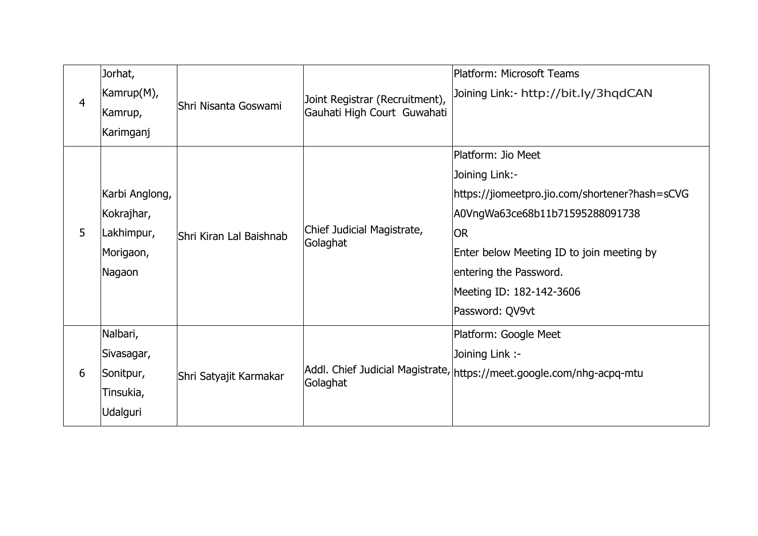| Joining Link:- http://bit.ly/3hqdCAN                                  |
|-----------------------------------------------------------------------|
|                                                                       |
|                                                                       |
|                                                                       |
|                                                                       |
| https://jiomeetpro.jio.com/shortener?hash=sCVG                        |
| A0VngWa63ce68b11b71595288091738                                       |
|                                                                       |
| Enter below Meeting ID to join meeting by                             |
|                                                                       |
|                                                                       |
|                                                                       |
|                                                                       |
|                                                                       |
| Addl. Chief Judicial Magistrate, https://meet.google.com/nhg-acpq-mtu |
|                                                                       |
|                                                                       |
|                                                                       |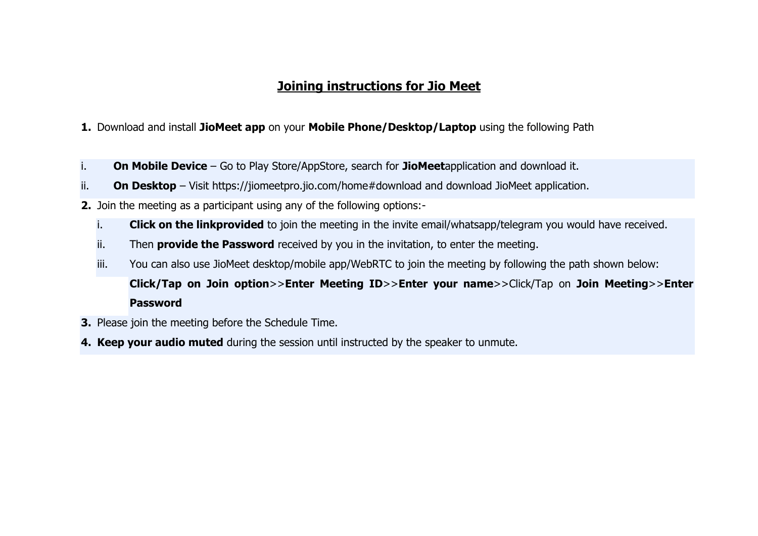## **Joining instructions for Jio Meet**

### **1.** [Download and install](javascript:void(0);) **JioMeet app** on your **Mobile Phone/Desktop/Laptop** using the following Path

- i. **On Mobile Device** Go to Play Store/AppStore, search for **JioMeet**application and download it.
- ii. **On Desktop** Visit https://jiomeetpro.jio.com/home#download and download JioMeet application.
- **2.** [Join the meeting as a participant](javascript:void(0);) using any of the following options:
	- i. **Click on the linkprovided** to join the meeting in the invite email/whatsapp/telegram you would have received.
	- ii. Then **provide the Password** received by you in the invitation, to enter the meeting.
	- iii. You can also use JioMeet desktop/mobile app/WebRTC to join the meeting by following the path shown below:
		- **Click/Tap on Join option**>>**Enter Meeting ID**>>**Enter your name**>>Click/Tap on **Join Meeting**>>**Enter Password**
- **3.** Please join the meeting before the Schedule Time.
- **4. Keep your audio muted** during the session until instructed by the speaker to unmute.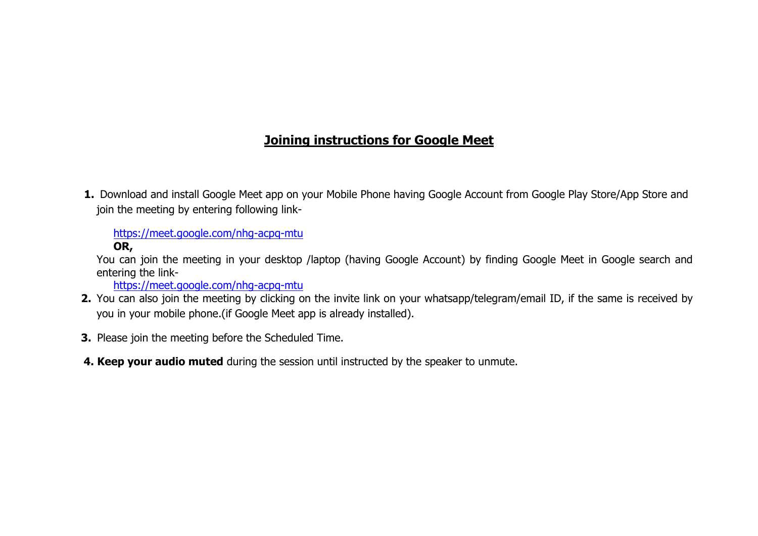## **Joining instructions for Google Meet**

1. Download and install Google Meet app on your Mobile Phone having Google Account from Google Play Store/App Store and join the meeting by entering following link-

[https://meet.google.com/nhg-acpq-mtu](https://meet.google.com/xrr-psgu-ease)

**OR,**

You can join the meeting in your desktop /laptop (having Google Account) by finding Google Meet in Google search and entering the link-

[https://meet.google.com/nhg-acpq-mtu](https://meet.google.com/xrr-psgu-ease)

- **2.** You can also join the meeting by clicking on the invite link on your whatsapp/telegram/email ID, if the same is received by you in your mobile phone.(if Google Meet app is already installed).
- **3.** Please join the meeting before the Scheduled Time.
- **4. Keep your audio muted** during the session until instructed by the speaker to unmute.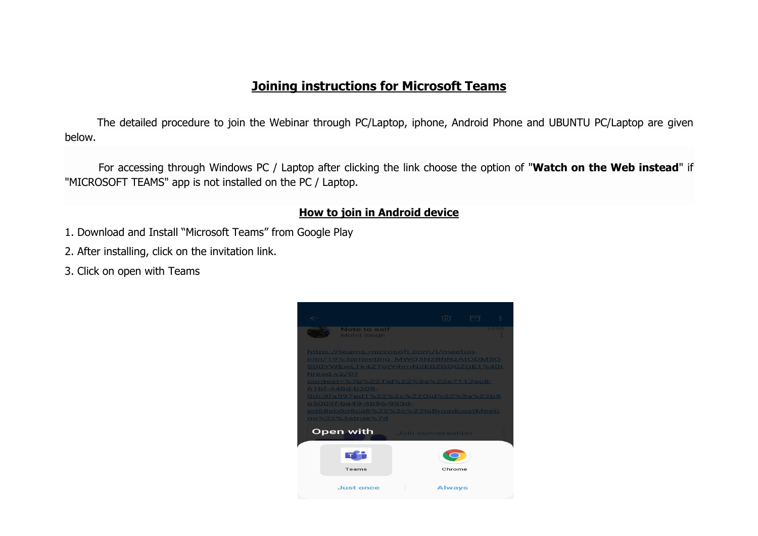## **Joining instructions for Microsoft Teams**

The detailed procedure to join the Webinar through PC/Laptop, iphone, Android Phone and UBUNTU PC/Laptop are given below.

 For accessing through Windows PC / Laptop after clicking the link choose the option of "**Watch on the Web instead**" if "MICROSOFT TEAMS" app is not installed on the PC / Laptop.

## **How to join in Android device**

- 1. Download and Install "Microsoft Teams" from Google Play
- 2. After installing, click on the invitation link.
- 3. Click on open with Teams

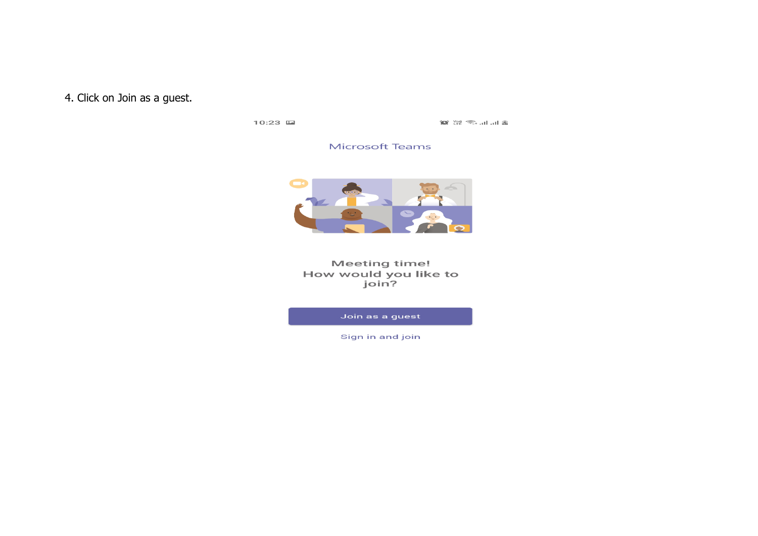## 4. Click on Join as a guest.

 $10:23$   $\Box$ 

 $\mathbb{R}$  lu lu lu  $\mathbb{R}$ 

#### **Microsoft Teams**



#### **Meeting time!** How would you like to join?

Join as a guest

Sign in and join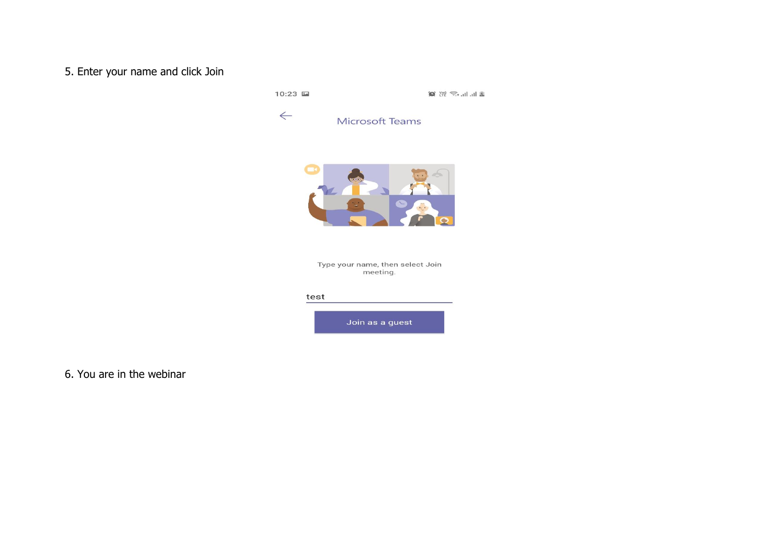## 5. Enter your name and click Join

10:23 国

 $\mathbf{C}$   $\mathbb{C}$   $\mathbb{C}$   $\mathbb{C}$   $\mathbb{C}$   $\mathbb{C}$   $\mathbb{C}$   $\mathbb{C}$   $\mathbb{C}$   $\mathbb{C}$   $\mathbb{C}$   $\mathbb{C}$   $\mathbb{C}$   $\mathbb{C}$   $\mathbb{C}$   $\mathbb{C}$   $\mathbb{C}$   $\mathbb{C}$   $\mathbb{C}$   $\mathbb{C}$   $\mathbb{C}$   $\mathbb{C}$   $\mathbb{C}$   $\mathbb{C}$   $\mathbb{$ 



Microsoft Teams



Type your name, then select Join<br>meeting.

#### test



6. You are in the webinar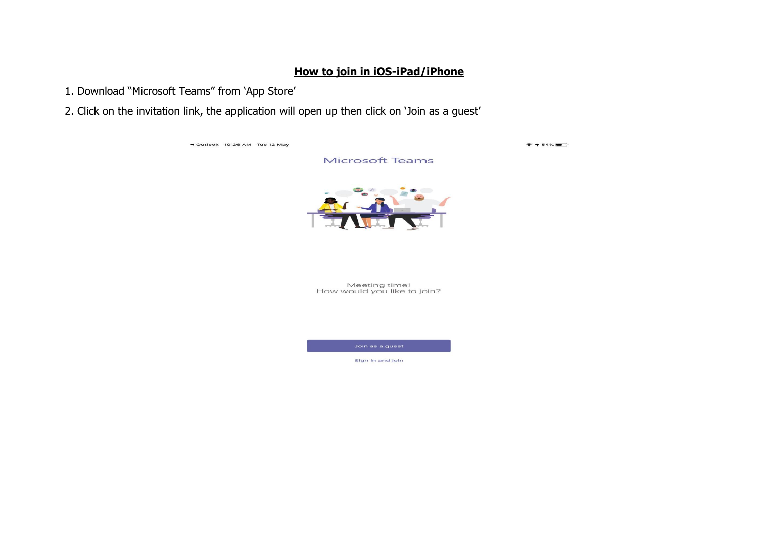### **How to join in iOS-iPad/iPhone**

1. Download "Microsoft Teams" from "App Store"

2. Click on the invitation link, the application will open up then click on 'Join as a guest'

◀ Outlook 10:26 AM Tue 12 May

 $7 54%$ 

**Microsoft Teams** 



Meeting time! How would you like to join?

Join as a guest

Sign in and join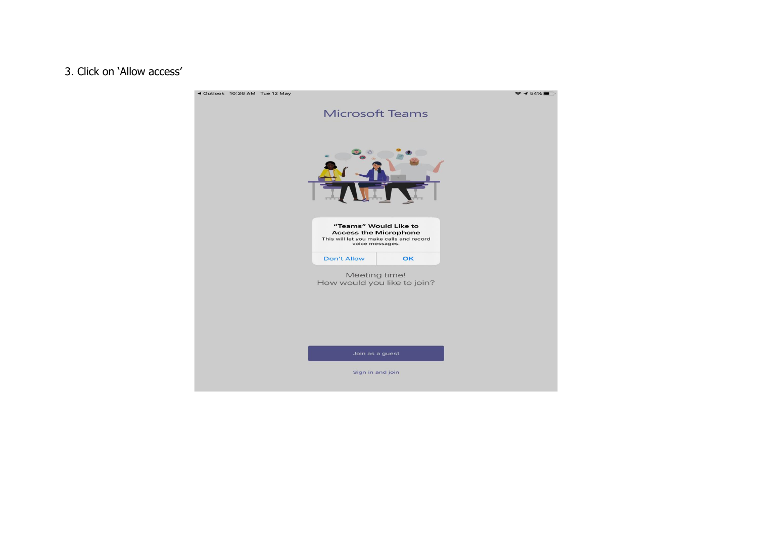## . Click on "Allow access"

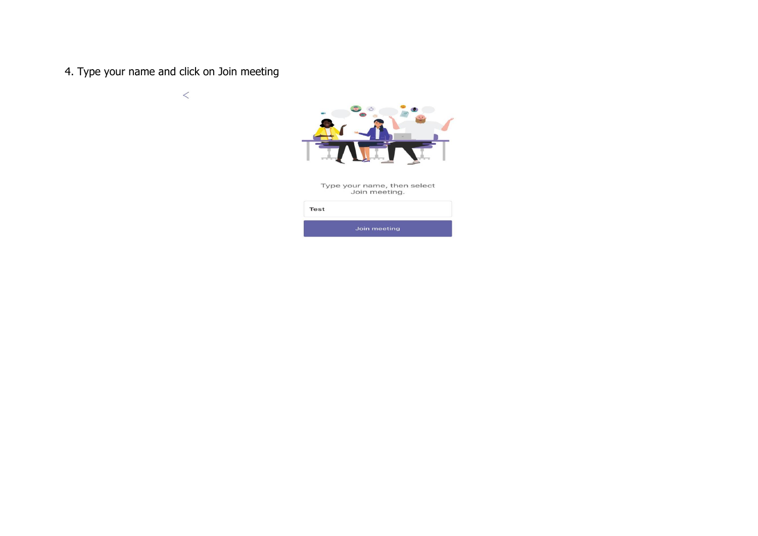4. Type your name and click on Join meeting

 $\,<$ 



Type your name, then select<br>Join meeting.

| Test |              |  |
|------|--------------|--|
|      | Join meeting |  |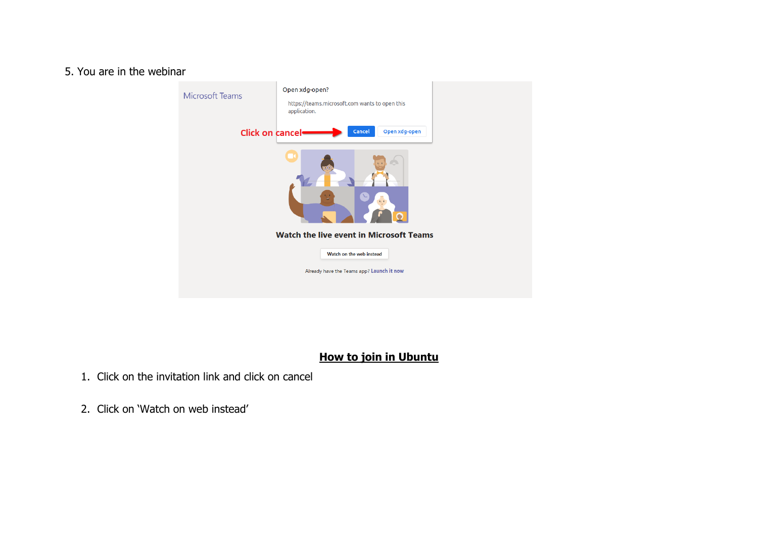### 5. You are in the webinar

| <b>Microsoft Teams</b>                         | Open xdg-open?<br>https://teams.microsoft.com wants to open this<br>application. |  |  |  |  |  |  |
|------------------------------------------------|----------------------------------------------------------------------------------|--|--|--|--|--|--|
| <b>Click on cancel-</b>                        | Open xdg-open<br>Cancel                                                          |  |  |  |  |  |  |
|                                                | $\mathcal{A}_{\mathcal{L}}$ .                                                    |  |  |  |  |  |  |
| <b>Watch the live event in Microsoft Teams</b> |                                                                                  |  |  |  |  |  |  |
|                                                | Watch on the web instead                                                         |  |  |  |  |  |  |
|                                                | Already have the Teams app? Launch it now                                        |  |  |  |  |  |  |
|                                                |                                                                                  |  |  |  |  |  |  |

## **How to join in Ubuntu**

- 1. Click on the invitation link and click on cancel
- 2. Click on "Watch on web instead"